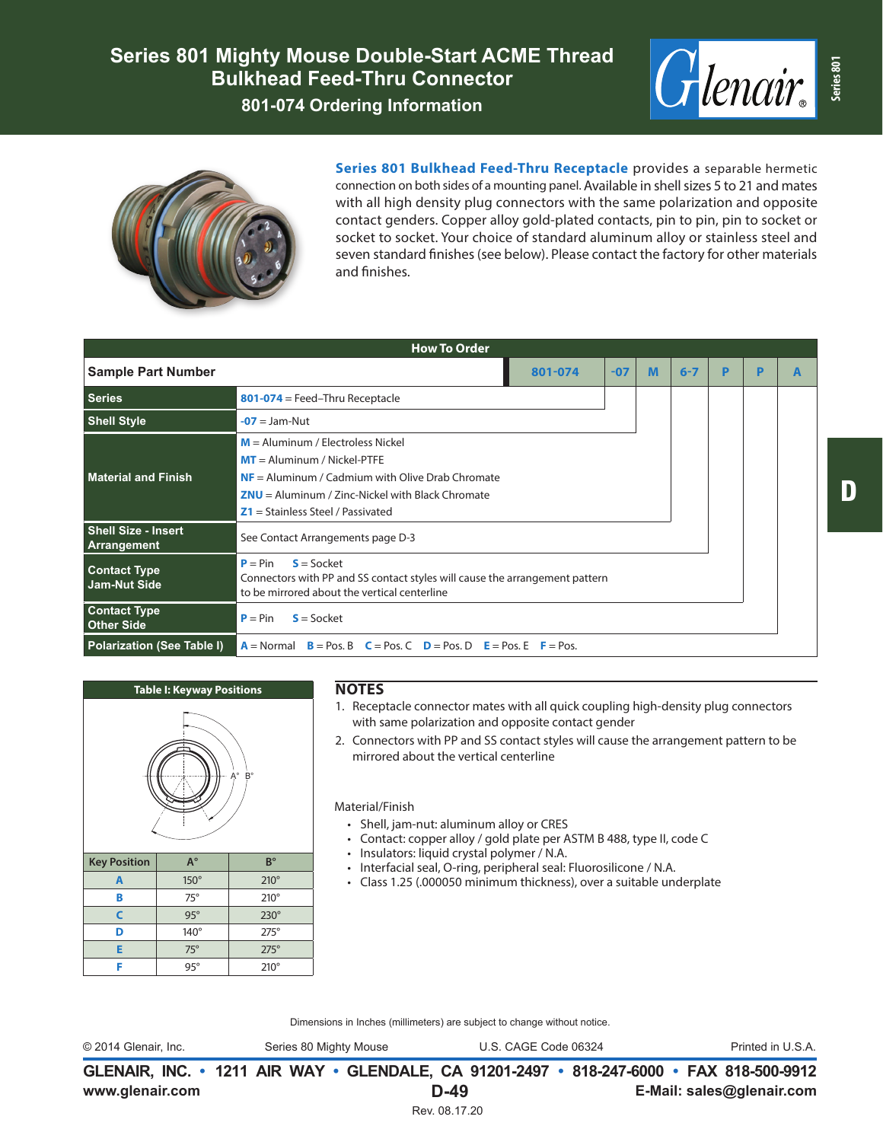



**Series 801 Bulkhead Feed-Thru Receptacle** provides a separable hermetic connection on both sides of a mounting panel. Available in shell sizes 5 to 21 and mates with all high density plug connectors with the same polarization and opposite contact genders. Copper alloy gold-plated contacts, pin to pin, pin to socket or socket to socket. Your choice of standard aluminum alloy or stainless steel and seven standard finishes (see below). Please contact the factory for other materials and finishes.

| <b>How To Order</b>                       |                                                                                                                                                                                                                         |         |       |   |         |   |  |  |
|-------------------------------------------|-------------------------------------------------------------------------------------------------------------------------------------------------------------------------------------------------------------------------|---------|-------|---|---------|---|--|--|
| <b>Sample Part Number</b>                 |                                                                                                                                                                                                                         | 801-074 | $-07$ | M | $6 - 7$ | P |  |  |
| <b>Series</b>                             | $801-074$ = Feed-Thru Receptacle                                                                                                                                                                                        |         |       |   |         |   |  |  |
| <b>Shell Style</b>                        | $-07 =$ Jam-Nut                                                                                                                                                                                                         |         |       |   |         |   |  |  |
| <b>Material and Finish</b>                | $M =$ Aluminum / Electroless Nickel<br>$MT =$ Aluminum / Nickel-PTFE<br>$NF =$ Aluminum / Cadmium with Olive Drab Chromate<br>$2NU =$ Aluminum / Zinc-Nickel with Black Chromate<br>$Z1 =$ Stainless Steel / Passivated |         |       |   |         |   |  |  |
| <b>Shell Size - Insert</b><br>Arrangement | See Contact Arrangements page D-3                                                                                                                                                                                       |         |       |   |         |   |  |  |
| <b>Contact Type</b><br>Jam-Nut Side       | $S = S$ ocket<br>$P = Pin$<br>Connectors with PP and SS contact styles will cause the arrangement pattern<br>to be mirrored about the vertical centerline                                                               |         |       |   |         |   |  |  |
| <b>Contact Type</b><br><b>Other Side</b>  | $S = S$ ocket<br>$P = Pin$                                                                                                                                                                                              |         |       |   |         |   |  |  |
| <b>Polarization (See Table I)</b>         | $A = Normal$ $B = Pos$ . B $C = Pos$ . C $D = Pos$ . D $E = Pos$ . E $F = Pos$ .                                                                                                                                        |         |       |   |         |   |  |  |



## **NOTES**

- 1. Receptacle connector mates with all quick coupling high-density plug connectors with same polarization and opposite contact gender
- 2. Connectors with PP and SS contact styles will cause the arrangement pattern to be mirrored about the vertical centerline

Material/Finish

- Shell, jam-nut: aluminum alloy or CRES
- Contact: copper alloy / gold plate per ASTM B 488, type II, code C
- Insulators: liquid crystal polymer / N.A.
- Interfacial seal, O-ring, peripheral seal: Fluorosilicone / N.A.
- Class 1.25 (.000050 minimum thickness), over a suitable underplate

Dimensions in Inches (millimeters) are subject to change without notice.

© 2014 Glenair, Inc. Series 80 Mighty Mouse U.S. CAGE Code 06324 Printed in U.S.A.

**www.glenair.com E-Mail: sales@glenair.com GLENAIR, INC. • 1211 AIR WAY • GLENDALE, CA 91201-2497 • 818-247-6000 • FAX 818-500-9912 D-49** Rev. 08.17.20